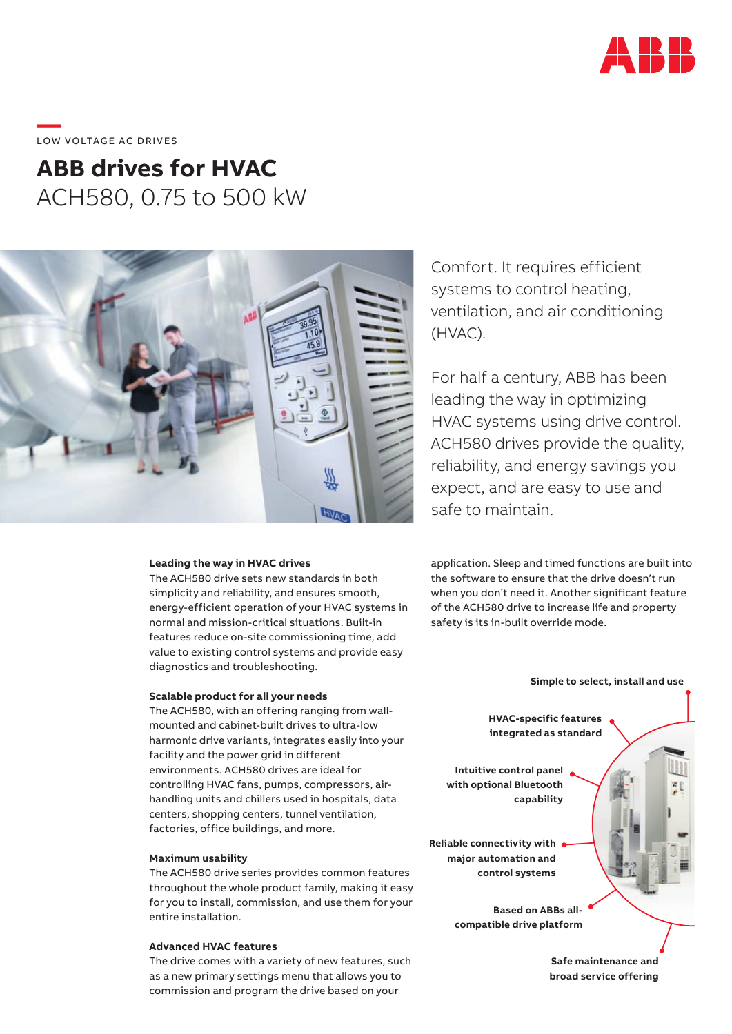

# \_\_\_\_\_<br>LOW VOLTAGE AC DRIVES

## **ABB drives for HVAC** ACH580, 0.75 to 500 kW



#### **Leading the way in HVAC drives**

The ACH580 drive sets new standards in both simplicity and reliability, and ensures smooth, energy-efficient operation of your HVAC systems in normal and mission-critical situations. Built-in features reduce on-site commissioning time, add value to existing control systems and provide easy diagnostics and troubleshooting.

#### **Scalable product for all your needs**

The ACH580, with an offering ranging from wallmounted and cabinet-built drives to ultra-low harmonic drive variants, integrates easily into your facility and the power grid in different environments. ACH580 drives are ideal for controlling HVAC fans, pumps, compressors, airhandling units and chillers used in hospitals, data centers, shopping centers, tunnel ventilation, factories, office buildings, and more.

#### **Maximum usability**

The ACH580 drive series provides common features throughout the whole product family, making it easy for you to install, commission, and use them for your entire installation.

#### **Advanced HVAC features**

The drive comes with a variety of new features, such as a new primary settings menu that allows you to commission and program the drive based on your

Comfort. It requires efficient systems to control heating, ventilation, and air conditioning (HVAC).

For half a century, ABB has been leading the way in optimizing HVAC systems using drive control. ACH580 drives provide the quality, reliability, and energy savings you expect, and are easy to use and safe to maintain.

application. Sleep and timed functions are built into the software to ensure that the drive doesn't run when you don't need it. Another significant feature of the ACH580 drive to increase life and property safety is its in-built override mode.